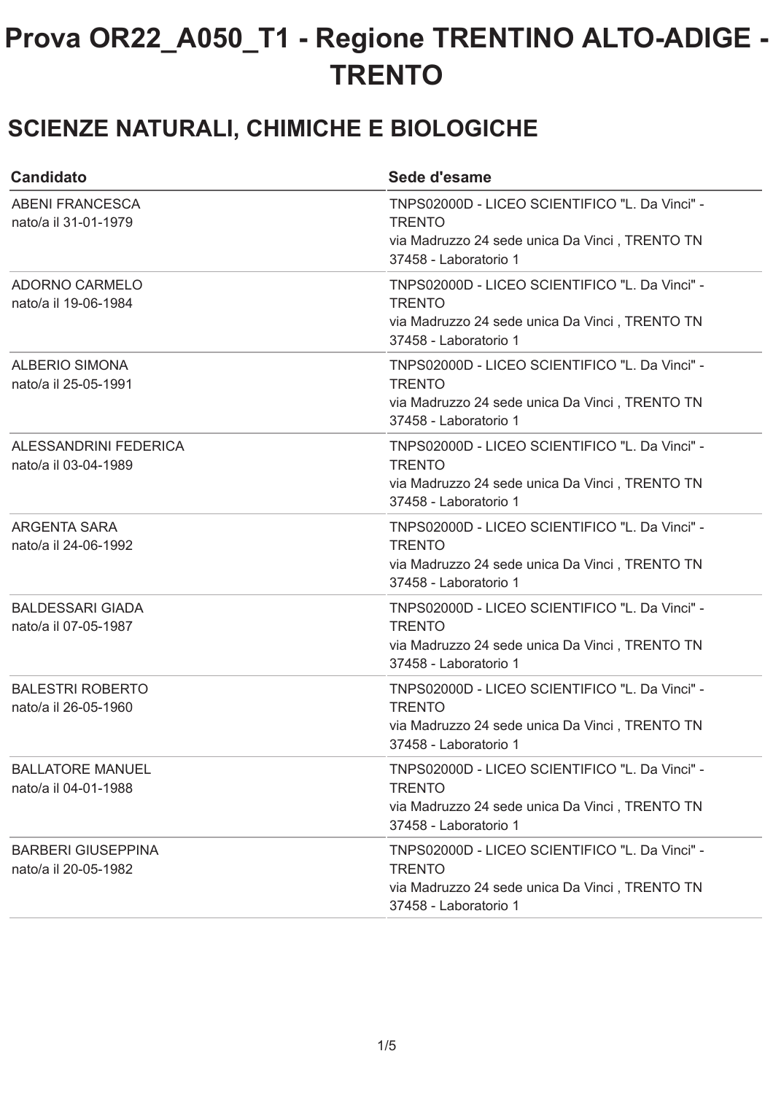#### **SCIENZE NATURALI, CHIMICHE E BIOLOGICHE**

| <b>Candidato</b>                                  | Sede d'esame                                                                                                                               |
|---------------------------------------------------|--------------------------------------------------------------------------------------------------------------------------------------------|
| <b>ABENI FRANCESCA</b><br>nato/a il 31-01-1979    | TNPS02000D - LICEO SCIENTIFICO "L. Da Vinci" -<br><b>TRENTO</b><br>via Madruzzo 24 sede unica Da Vinci, TRENTO TN<br>37458 - Laboratorio 1 |
| ADORNO CARMELO<br>nato/a il 19-06-1984            | TNPS02000D - LICEO SCIENTIFICO "L. Da Vinci" -<br><b>TRENTO</b><br>via Madruzzo 24 sede unica Da Vinci, TRENTO TN<br>37458 - Laboratorio 1 |
| <b>ALBERIO SIMONA</b><br>nato/a il 25-05-1991     | TNPS02000D - LICEO SCIENTIFICO "L. Da Vinci" -<br><b>TRENTO</b><br>via Madruzzo 24 sede unica Da Vinci, TRENTO TN<br>37458 - Laboratorio 1 |
| ALESSANDRINI FEDERICA<br>nato/a il 03-04-1989     | TNPS02000D - LICEO SCIENTIFICO "L. Da Vinci" -<br><b>TRENTO</b><br>via Madruzzo 24 sede unica Da Vinci, TRENTO TN<br>37458 - Laboratorio 1 |
| ARGENTA SARA<br>nato/a il 24-06-1992              | TNPS02000D - LICEO SCIENTIFICO "L. Da Vinci" -<br><b>TRENTO</b><br>via Madruzzo 24 sede unica Da Vinci, TRENTO TN<br>37458 - Laboratorio 1 |
| <b>BALDESSARI GIADA</b><br>nato/a il 07-05-1987   | TNPS02000D - LICEO SCIENTIFICO "L. Da Vinci" -<br><b>TRENTO</b><br>via Madruzzo 24 sede unica Da Vinci, TRENTO TN<br>37458 - Laboratorio 1 |
| <b>BALESTRI ROBERTO</b><br>nato/a il 26-05-1960   | TNPS02000D - LICEO SCIENTIFICO "L. Da Vinci" -<br><b>TRENTO</b><br>via Madruzzo 24 sede unica Da Vinci, TRENTO TN<br>37458 - Laboratorio 1 |
| <b>BALLATORE MANUEL</b><br>nato/a il 04-01-1988   | TNPS02000D - LICEO SCIENTIFICO "L. Da Vinci" -<br><b>TRENTO</b><br>via Madruzzo 24 sede unica Da Vinci, TRENTO TN<br>37458 - Laboratorio 1 |
| <b>BARBERI GIUSEPPINA</b><br>nato/a il 20-05-1982 | TNPS02000D - LICEO SCIENTIFICO "L. Da Vinci" -<br><b>TRENTO</b><br>via Madruzzo 24 sede unica Da Vinci, TRENTO TN<br>37458 - Laboratorio 1 |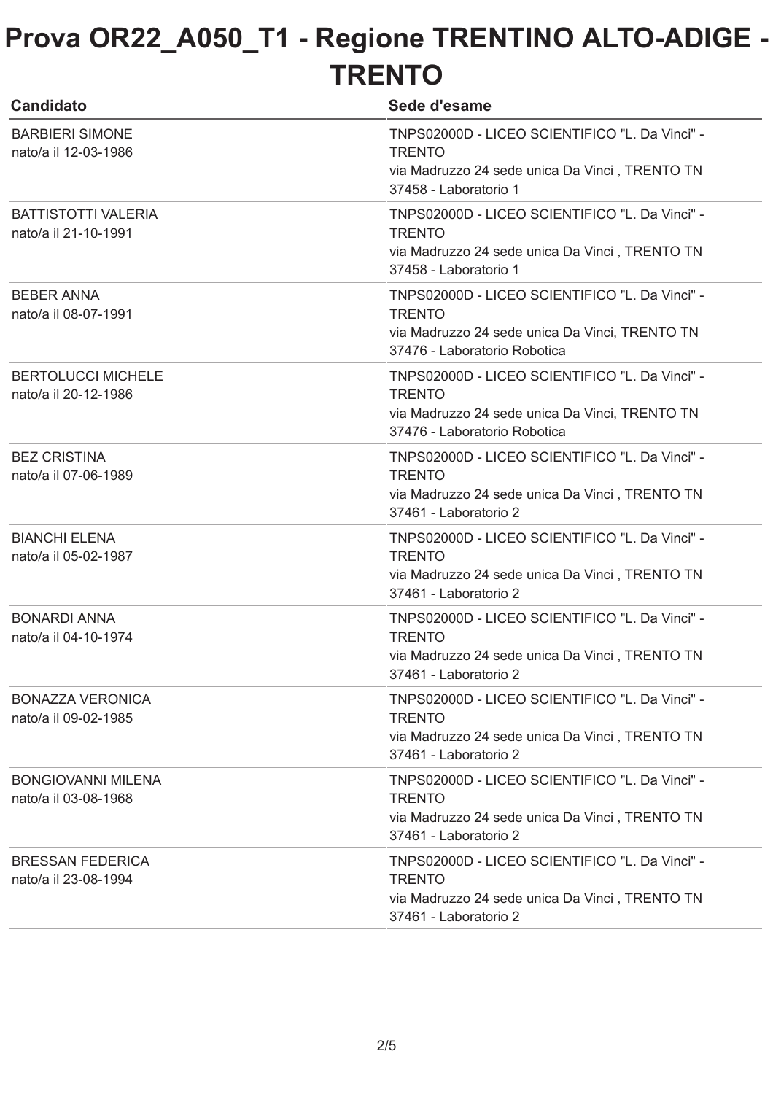| <b>Candidato</b>                                   | Sede d'esame                                                                                                                                      |
|----------------------------------------------------|---------------------------------------------------------------------------------------------------------------------------------------------------|
| <b>BARBIERI SIMONE</b><br>nato/a il 12-03-1986     | TNPS02000D - LICEO SCIENTIFICO "L. Da Vinci" -<br><b>TRENTO</b><br>via Madruzzo 24 sede unica Da Vinci, TRENTO TN<br>37458 - Laboratorio 1        |
| <b>BATTISTOTTI VALERIA</b><br>nato/a il 21-10-1991 | TNPS02000D - LICEO SCIENTIFICO "L. Da Vinci" -<br><b>TRENTO</b><br>via Madruzzo 24 sede unica Da Vinci, TRENTO TN<br>37458 - Laboratorio 1        |
| <b>BEBER ANNA</b><br>nato/a il 08-07-1991          | TNPS02000D - LICEO SCIENTIFICO "L. Da Vinci" -<br><b>TRENTO</b><br>via Madruzzo 24 sede unica Da Vinci, TRENTO TN<br>37476 - Laboratorio Robotica |
| <b>BERTOLUCCI MICHELE</b><br>nato/a il 20-12-1986  | TNPS02000D - LICEO SCIENTIFICO "L. Da Vinci" -<br><b>TRENTO</b><br>via Madruzzo 24 sede unica Da Vinci, TRENTO TN<br>37476 - Laboratorio Robotica |
| <b>BEZ CRISTINA</b><br>nato/a il 07-06-1989        | TNPS02000D - LICEO SCIENTIFICO "L. Da Vinci" -<br><b>TRENTO</b><br>via Madruzzo 24 sede unica Da Vinci, TRENTO TN<br>37461 - Laboratorio 2        |
| <b>BIANCHI ELENA</b><br>nato/a il 05-02-1987       | TNPS02000D - LICEO SCIENTIFICO "L. Da Vinci" -<br><b>TRENTO</b><br>via Madruzzo 24 sede unica Da Vinci, TRENTO TN<br>37461 - Laboratorio 2        |
| <b>BONARDI ANNA</b><br>nato/a il 04-10-1974        | TNPS02000D - LICEO SCIENTIFICO "L. Da Vinci" -<br><b>TRENTO</b><br>via Madruzzo 24 sede unica Da Vinci, TRENTO TN<br>37461 - Laboratorio 2        |
| <b>BONAZZA VERONICA</b><br>nato/a il 09-02-1985    | TNPS02000D - LICEO SCIENTIFICO "L. Da Vinci" -<br><b>TRENTO</b><br>via Madruzzo 24 sede unica Da Vinci, TRENTO TN<br>37461 - Laboratorio 2        |
| <b>BONGIOVANNI MILENA</b><br>nato/a il 03-08-1968  | TNPS02000D - LICEO SCIENTIFICO "L. Da Vinci" -<br><b>TRENTO</b><br>via Madruzzo 24 sede unica Da Vinci, TRENTO TN<br>37461 - Laboratorio 2        |
| <b>BRESSAN FEDERICA</b><br>nato/a il 23-08-1994    | TNPS02000D - LICEO SCIENTIFICO "L. Da Vinci" -<br><b>TRENTO</b><br>via Madruzzo 24 sede unica Da Vinci, TRENTO TN<br>37461 - Laboratorio 2        |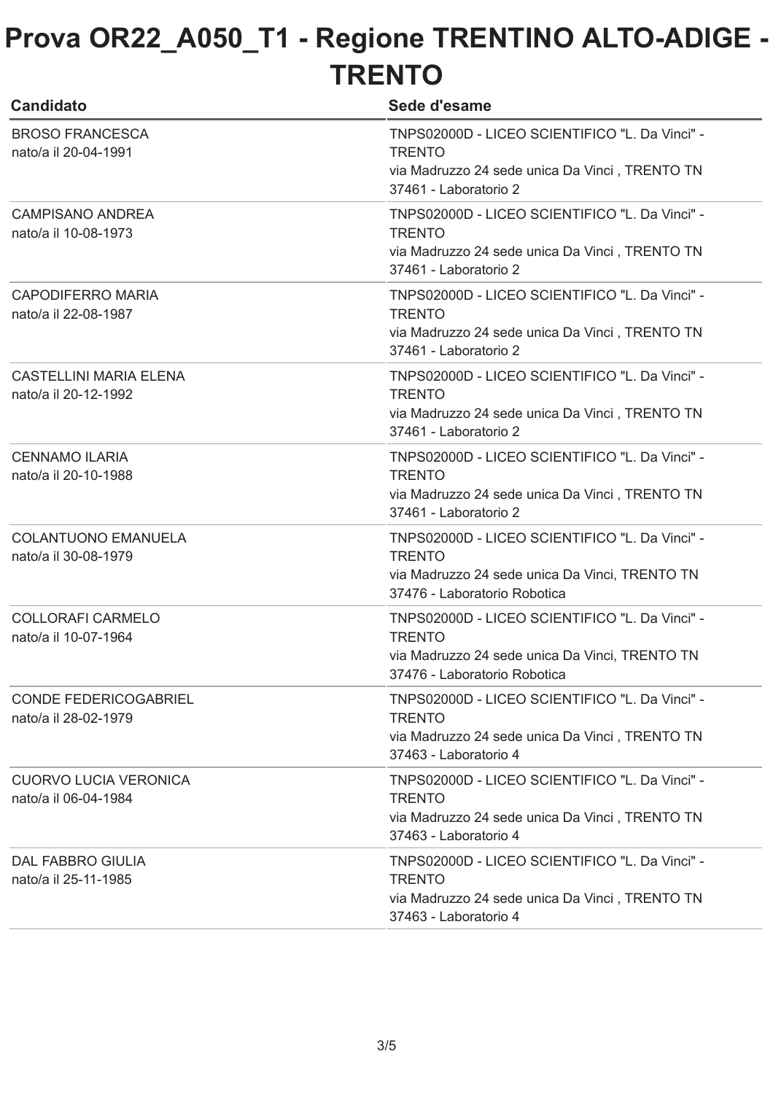| <b>Candidato</b>                                      | Sede d'esame                                                                                                                                      |
|-------------------------------------------------------|---------------------------------------------------------------------------------------------------------------------------------------------------|
| <b>BROSO FRANCESCA</b><br>nato/a il 20-04-1991        | TNPS02000D - LICEO SCIENTIFICO "L. Da Vinci" -<br><b>TRENTO</b><br>via Madruzzo 24 sede unica Da Vinci, TRENTO TN<br>37461 - Laboratorio 2        |
| <b>CAMPISANO ANDREA</b><br>nato/a il 10-08-1973       | TNPS02000D - LICEO SCIENTIFICO "L. Da Vinci" -<br><b>TRENTO</b><br>via Madruzzo 24 sede unica Da Vinci, TRENTO TN<br>37461 - Laboratorio 2        |
| <b>CAPODIFERRO MARIA</b><br>nato/a il 22-08-1987      | TNPS02000D - LICEO SCIENTIFICO "L. Da Vinci" -<br><b>TRENTO</b><br>via Madruzzo 24 sede unica Da Vinci, TRENTO TN<br>37461 - Laboratorio 2        |
| <b>CASTELLINI MARIA ELENA</b><br>nato/a il 20-12-1992 | TNPS02000D - LICEO SCIENTIFICO "L. Da Vinci" -<br><b>TRENTO</b><br>via Madruzzo 24 sede unica Da Vinci, TRENTO TN<br>37461 - Laboratorio 2        |
| <b>CENNAMO ILARIA</b><br>nato/a il 20-10-1988         | TNPS02000D - LICEO SCIENTIFICO "L. Da Vinci" -<br><b>TRENTO</b><br>via Madruzzo 24 sede unica Da Vinci, TRENTO TN<br>37461 - Laboratorio 2        |
| <b>COLANTUONO EMANUELA</b><br>nato/a il 30-08-1979    | TNPS02000D - LICEO SCIENTIFICO "L. Da Vinci" -<br><b>TRENTO</b><br>via Madruzzo 24 sede unica Da Vinci, TRENTO TN<br>37476 - Laboratorio Robotica |
| <b>COLLORAFI CARMELO</b><br>nato/a il 10-07-1964      | TNPS02000D - LICEO SCIENTIFICO "L. Da Vinci" -<br><b>TRENTO</b><br>via Madruzzo 24 sede unica Da Vinci, TRENTO TN<br>37476 - Laboratorio Robotica |
| <b>CONDE FEDERICOGABRIEL</b><br>nato/a il 28-02-1979  | TNPS02000D - LICEO SCIENTIFICO "L. Da Vinci" -<br><b>TRENTO</b><br>via Madruzzo 24 sede unica Da Vinci, TRENTO TN<br>37463 - Laboratorio 4        |
| <b>CUORVO LUCIA VERONICA</b><br>nato/a il 06-04-1984  | TNPS02000D - LICEO SCIENTIFICO "L. Da Vinci" -<br><b>TRENTO</b><br>via Madruzzo 24 sede unica Da Vinci, TRENTO TN<br>37463 - Laboratorio 4        |
| <b>DAL FABBRO GIULIA</b><br>nato/a il 25-11-1985      | TNPS02000D - LICEO SCIENTIFICO "L. Da Vinci" -<br><b>TRENTO</b><br>via Madruzzo 24 sede unica Da Vinci, TRENTO TN<br>37463 - Laboratorio 4        |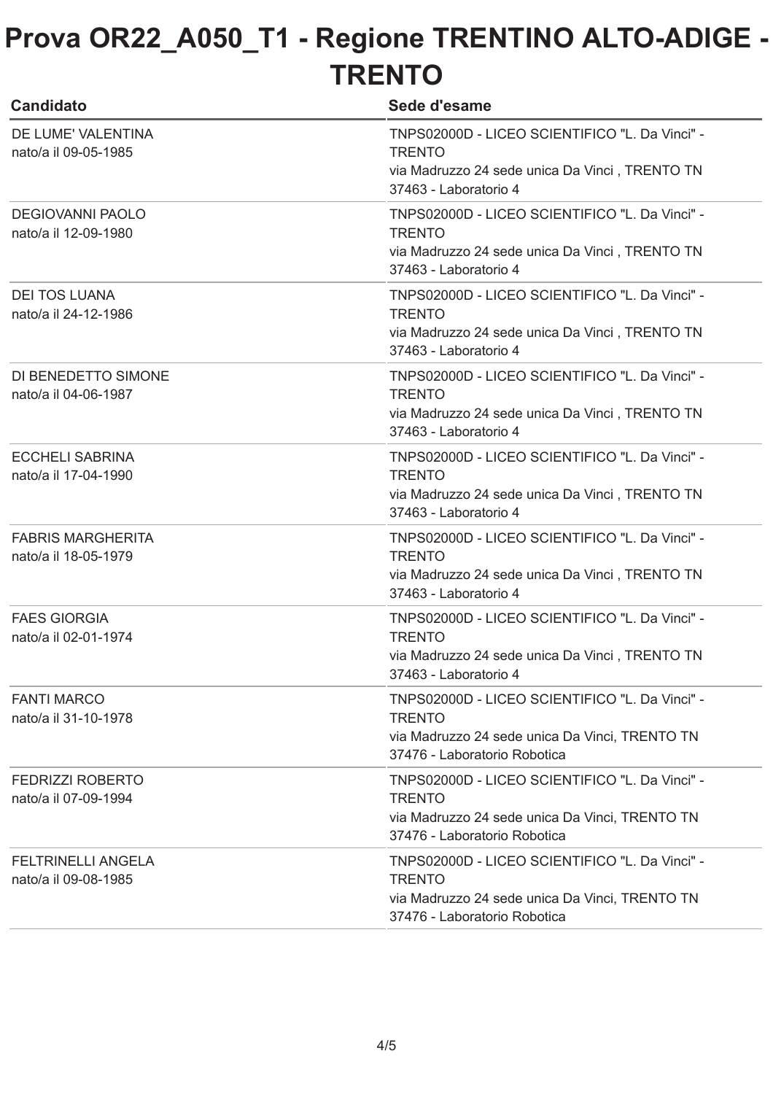| <b>Candidato</b>                                  | Sede d'esame                                                                                                                                      |
|---------------------------------------------------|---------------------------------------------------------------------------------------------------------------------------------------------------|
| DE LUME' VALENTINA<br>nato/a il 09-05-1985        | TNPS02000D - LICEO SCIENTIFICO "L. Da Vinci" -<br><b>TRENTO</b><br>via Madruzzo 24 sede unica Da Vinci, TRENTO TN<br>37463 - Laboratorio 4        |
| <b>DEGIOVANNI PAOLO</b><br>nato/a il 12-09-1980   | TNPS02000D - LICEO SCIENTIFICO "L. Da Vinci" -<br><b>TRENTO</b><br>via Madruzzo 24 sede unica Da Vinci, TRENTO TN<br>37463 - Laboratorio 4        |
| <b>DEI TOS LUANA</b><br>nato/a il 24-12-1986      | TNPS02000D - LICEO SCIENTIFICO "L. Da Vinci" -<br><b>TRENTO</b><br>via Madruzzo 24 sede unica Da Vinci, TRENTO TN<br>37463 - Laboratorio 4        |
| DI BENEDETTO SIMONE<br>nato/a il 04-06-1987       | TNPS02000D - LICEO SCIENTIFICO "L. Da Vinci" -<br><b>TRENTO</b><br>via Madruzzo 24 sede unica Da Vinci, TRENTO TN<br>37463 - Laboratorio 4        |
| <b>ECCHELI SABRINA</b><br>nato/a il 17-04-1990    | TNPS02000D - LICEO SCIENTIFICO "L. Da Vinci" -<br><b>TRENTO</b><br>via Madruzzo 24 sede unica Da Vinci, TRENTO TN<br>37463 - Laboratorio 4        |
| <b>FABRIS MARGHERITA</b><br>nato/a il 18-05-1979  | TNPS02000D - LICEO SCIENTIFICO "L. Da Vinci" -<br><b>TRENTO</b><br>via Madruzzo 24 sede unica Da Vinci, TRENTO TN<br>37463 - Laboratorio 4        |
| <b>FAES GIORGIA</b><br>nato/a il 02-01-1974       | TNPS02000D - LICEO SCIENTIFICO "L. Da Vinci" -<br><b>TRENTO</b><br>via Madruzzo 24 sede unica Da Vinci, TRENTO TN<br>37463 - Laboratorio 4        |
| <b>FANTI MARCO</b><br>nato/a il 31-10-1978        | TNPS02000D - LICEO SCIENTIFICO "L. Da Vinci" -<br><b>TRENTO</b><br>via Madruzzo 24 sede unica Da Vinci, TRENTO TN<br>37476 - Laboratorio Robotica |
| <b>FEDRIZZI ROBERTO</b><br>nato/a il 07-09-1994   | TNPS02000D - LICEO SCIENTIFICO "L. Da Vinci" -<br><b>TRENTO</b><br>via Madruzzo 24 sede unica Da Vinci, TRENTO TN<br>37476 - Laboratorio Robotica |
| <b>FELTRINELLI ANGELA</b><br>nato/a il 09-08-1985 | TNPS02000D - LICEO SCIENTIFICO "L. Da Vinci" -<br><b>TRENTO</b><br>via Madruzzo 24 sede unica Da Vinci, TRENTO TN<br>37476 - Laboratorio Robotica |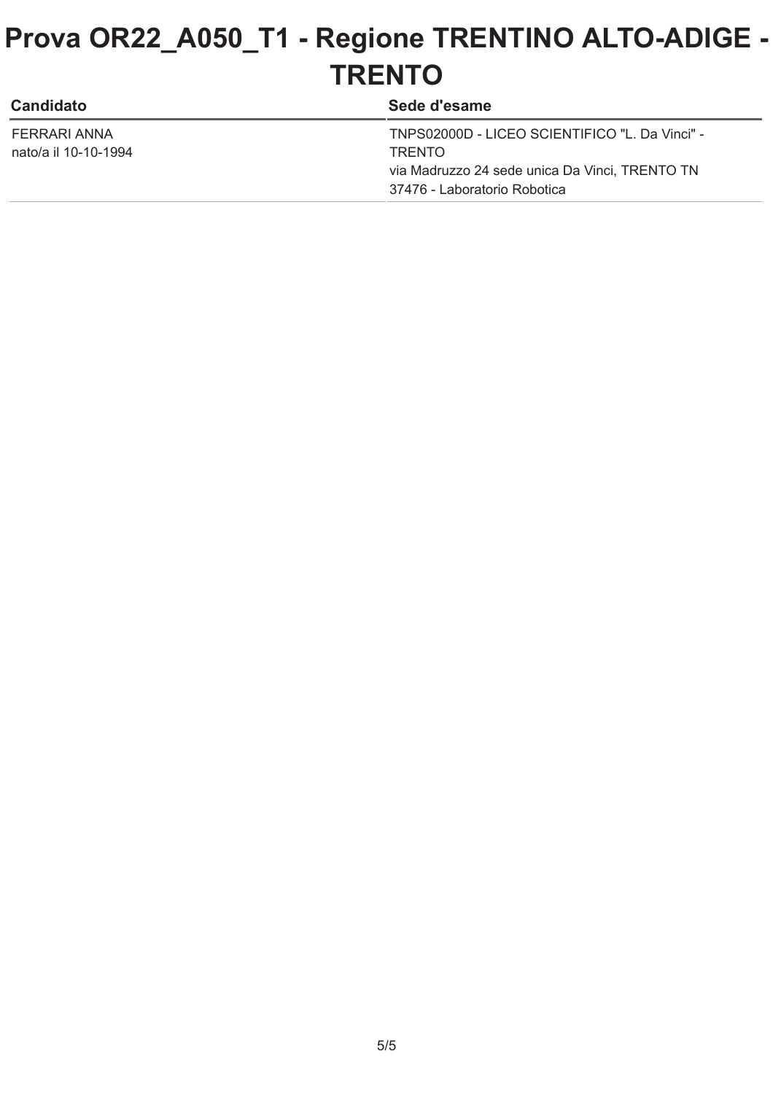| <b>Candidato</b>     | Sede d'esame                                   |
|----------------------|------------------------------------------------|
| FERRARI ANNA         | TNPS02000D - LICEO SCIENTIFICO "L. Da Vinci" - |
| nato/a il 10-10-1994 | <b>TRENTO</b>                                  |
|                      | via Madruzzo 24 sede unica Da Vinci, TRENTO TN |
|                      | 37476 - Laboratorio Robotica                   |